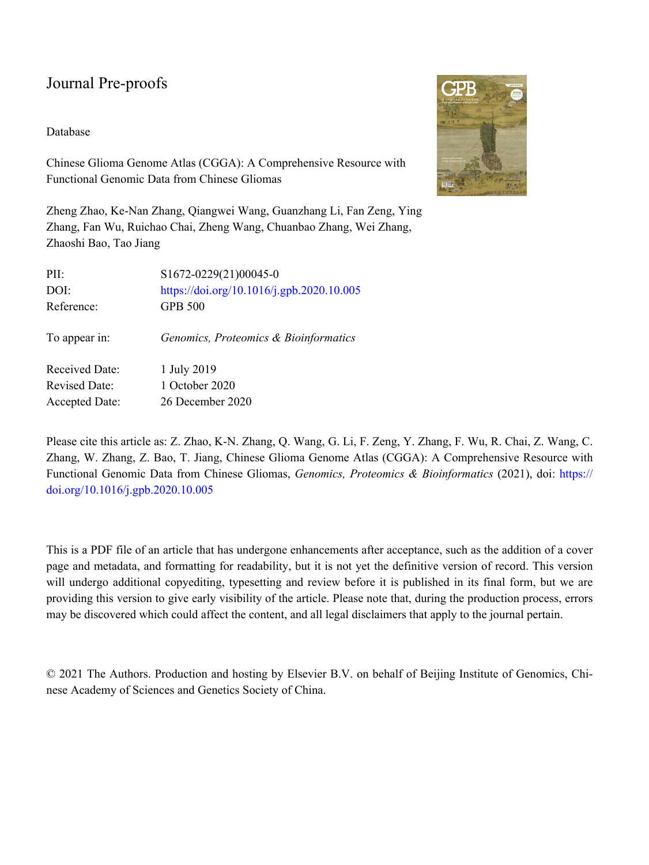#### Database

Chinese Glioma Genome Atlas (CGGA): A Comprehensive Resource with Functional Genomic Data from Chinese Gliomas

Zheng Zhao, Ke-Nan Zhang, Qiangwei Wang, Guanzhang Li, Fan Zeng, Ying Zhang, Fan Wu, Ruichao Chai, Zheng Wang, Chuanbao Zhang, Wei Zhang, Zhaoshi Bao, Tao Jiang

| PII:                  | S1672-0229(21)00045-0                     |
|-----------------------|-------------------------------------------|
| DOI:                  | https://doi.org/10.1016/j.gpb.2020.10.005 |
| Reference:            | <b>GPB 500</b>                            |
| To appear in:         | Genomics, Proteomics & Bioinformatics     |
| <b>Received Date:</b> | 1 July 2019                               |
| <b>Revised Date:</b>  | 1 October 2020                            |
| <b>Accepted Date:</b> | 26 December 2020                          |
|                       |                                           |

Please cite this article as: Z. Zhao, K-N. Zhang, Q. Wang, G. Li, F. Zeng, Y. Zhang, F. Wu, R. Chai, Z. Wang, C. Zhang, W. Zhang, Z. Bao, T. Jiang, Chinese Glioma Genome Atlas (CGGA): A Comprehensive Resource with Functional Genomic Data from Chinese Gliomas, *Genomics, Proteomics & Bioinformatics* (2021), doi: [https://](https://doi.org/10.1016/j.gpb.2020.10.005) [doi.org/10.1016/j.gpb.2020.10.005](https://doi.org/10.1016/j.gpb.2020.10.005)

This is a PDF file of an article that has undergone enhancements after acceptance, such as the addition of a cover page and metadata, and formatting for readability, but it is not yet the definitive version of record. This version will undergo additional copyediting, typesetting and review before it is published in its final form, but we are providing this version to give early visibility of the article. Please note that, during the production process, errors may be discovered which could affect the content, and all legal disclaimers that apply to the journal pertain.

© 2021 The Authors. Production and hosting by Elsevier B.V. on behalf of Beijing Institute of Genomics, Chinese Academy of Sciences and Genetics Society of China.

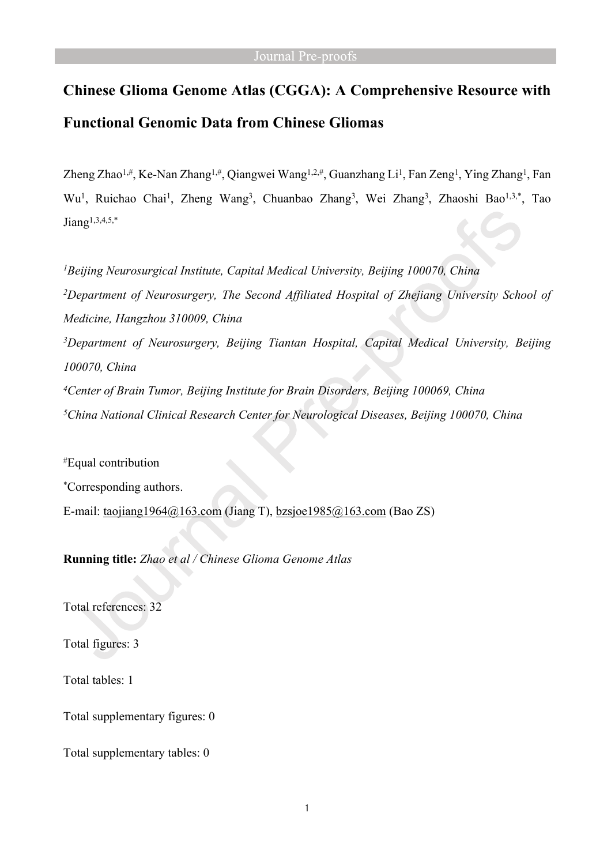# **Chinese Glioma Genome Atlas (CGGA): A Comprehensive Resource with Functional Genomic Data from Chinese Gliomas**

Zheng Zhao<sup>1,#</sup>, Ke-Nan Zhang<sup>1,#</sup>, Qiangwei Wang<sup>1,2,#</sup>, Guanzhang Li<sup>1</sup>, Fan Zeng<sup>1</sup>, Ying Zhang<sup>1</sup>, Fan Wu<sup>1</sup>, Ruichao Chai<sup>1</sup>, Zheng Wang<sup>3</sup>, Chuanbao Zhang<sup>3</sup>, Wei Zhang<sup>3</sup>, Zhaoshi Bao<sup>1,3,\*</sup>, Tao  $J$ iang<sup>1,3,4,5,\*</sup>

*Beijing Neurosurgical Institute, Capital Medical University, Beijing 100070, China Department of Neurosurgery, The Second Affiliated Hospital of Zhejiang University School of Medicine, Hangzhou 310009, China Department of Neurosurgery, Beijing Tiantan Hospital, Capital Medical University, Beijing 100070, China Center of Brain Tumor, Beijing Institute for Brain Disorders, Beijing 100069, China China National Clinical Research Center for Neurological Diseases, Beijing 100070, China*

#Equal contribution \*Corresponding authors. E-mail: [taojiang1964@163.com](mailto:taojiang1964@163.com) (Jiang T), [bzsjoe1985@163.com](mailto:bzsjoe1985@163.com) (Bao ZS)

**Running title:** *Zhao et al / Chinese Glioma Genome Atlas*

Total references: 32

Total figures: 3

Total tables: 1

Total supplementary figures: 0

Total supplementary tables: 0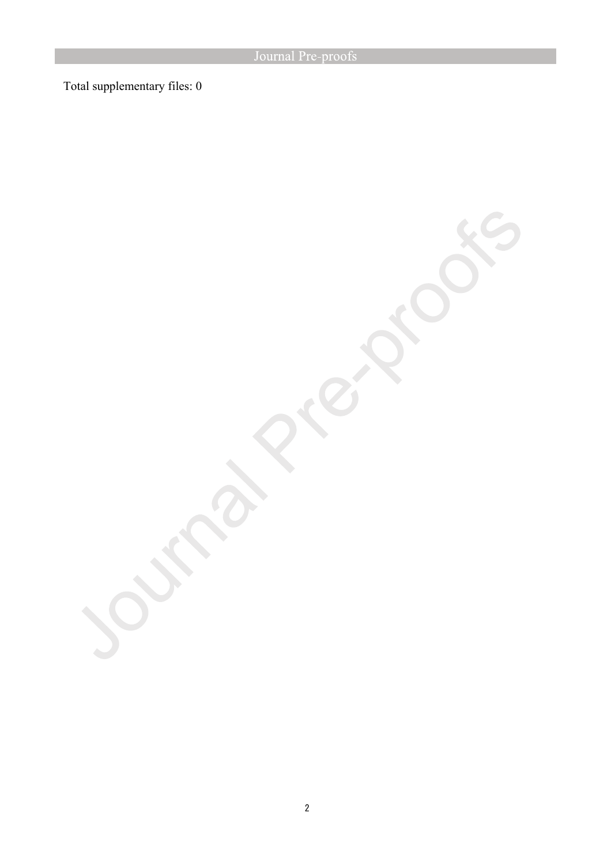Total supplementary files: 0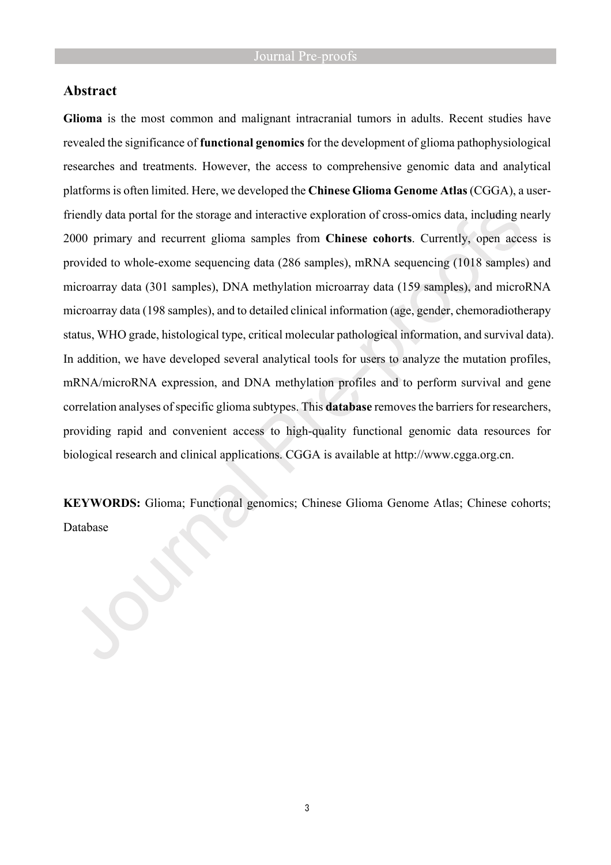### **Abstract**

**Glioma** is the most common and malignant intracranial tumors in adults. Recent studies have revealed the significance of **functional genomics** for the development of glioma pathophysiological researches and treatments. However, the access to comprehensive genomic data and analytical platforms is often limited. Here, we developed the **Chinese Glioma Genome Atlas** (CGGA), a userfriendly data portal for the storage and interactive exploration of cross-omics data, including nearly 2000 primary and recurrent glioma samples from **Chinese cohorts**. Currently, open access is provided to whole-exome sequencing data (286 samples), mRNA sequencing (1018 samples) and microarray data (301 samples), DNA methylation microarray data (159 samples), and microRNA microarray data (198 samples), and to detailed clinical information (age, gender, chemoradiotherapy status, WHO grade, histological type, critical molecular pathological information, and survival data). In addition, we have developed several analytical tools for users to analyze the mutation profiles, mRNA/microRNA expression, and DNA methylation profiles and to perform survival and gene correlation analyses of specific glioma subtypes. This **database** removes the barriers for researchers, providing rapid and convenient access to high-quality functional genomic data resources for biological research and clinical applications. CGGA is available at [http://www.cgga.org.cn.](http://www.cgga.org.cn/)

**KEYWORDS:** Glioma; Functional genomics; Chinese Glioma Genome Atlas; Chinese cohorts; Database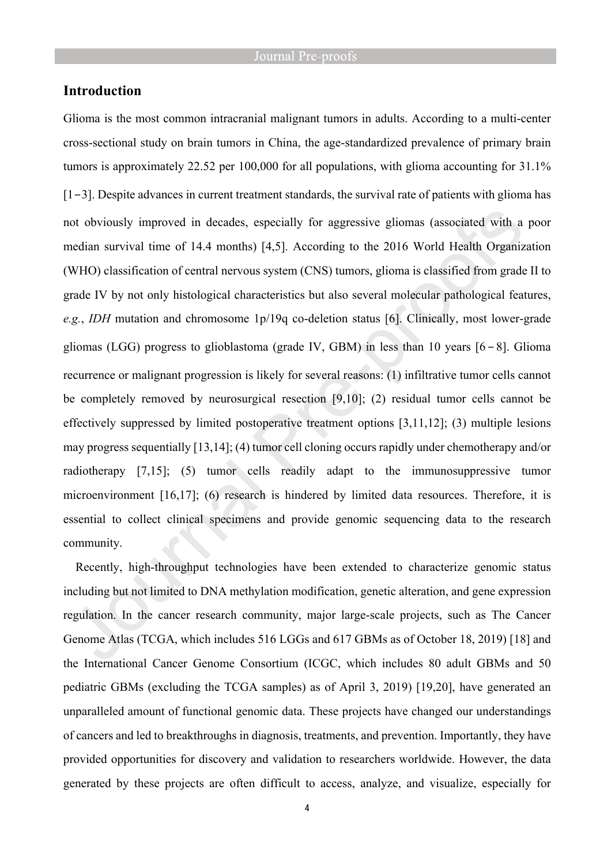# **Introduction**

Glioma is the most common intracranial malignant tumors in adults. According to a multi-center cross-sectional study on brain tumors in China, the age-standardized prevalence of primary brain tumors is approximately 22.52 per 100,000 for all populations, with glioma accounting for 31.1% [1−3]. Despite advances in current treatment standards, the survival rate of patients with glioma has not obviously improved in decades, especially for aggressive gliomas (associated with a poor median survival time of 14.4 months) [4,5]. According to the 2016 World Health Organization (WHO) classification of central nervous system (CNS) tumors, glioma is classified from grade II to grade IV by not only histological characteristics but also several molecular pathological features, *e.g.*, *IDH* mutation and chromosome 1p/19q co-deletion status [6]. Clinically, most lower-grade gliomas (LGG) progress to glioblastoma (grade IV, GBM) in less than 10 years [6−8]. Glioma recurrence or malignant progression is likely for several reasons: (1) infiltrative tumor cells cannot be completely removed by neurosurgical resection [9,10]; (2) residual tumor cells cannot be effectively suppressed by limited postoperative treatment options [3,11,12]; (3) multiple lesions may progress sequentially [13,14]; (4) tumor cell cloning occurs rapidly under chemotherapy and/or radiotherapy [7,15]; (5) tumor cells readily adapt to the immunosuppressive tumor microenvironment [16,17]; (6) research is hindered by limited data resources. Therefore, it is essential to collect clinical specimens and provide genomic sequencing data to the research community.

Recently, high-throughput technologies have been extended to characterize genomic status including but not limited to DNA methylation modification, genetic alteration, and gene expression regulation. In the cancer research community, major large-scale projects, such as The Cancer Genome Atlas (TCGA, which includes 516 LGGs and 617 GBMs as of October 18, 2019) [18] and the International Cancer Genome Consortium (ICGC, which includes 80 adult GBMs and 50 pediatric GBMs (excluding the TCGA samples) as of April 3, 2019) [19,20], have generated an unparalleled amount of functional genomic data. These projects have changed our understandings of cancers and led to breakthroughs in diagnosis, treatments, and prevention. Importantly, they have provided opportunities for discovery and validation to researchers worldwide. However, the data generated by these projects are often difficult to access, analyze, and visualize, especially for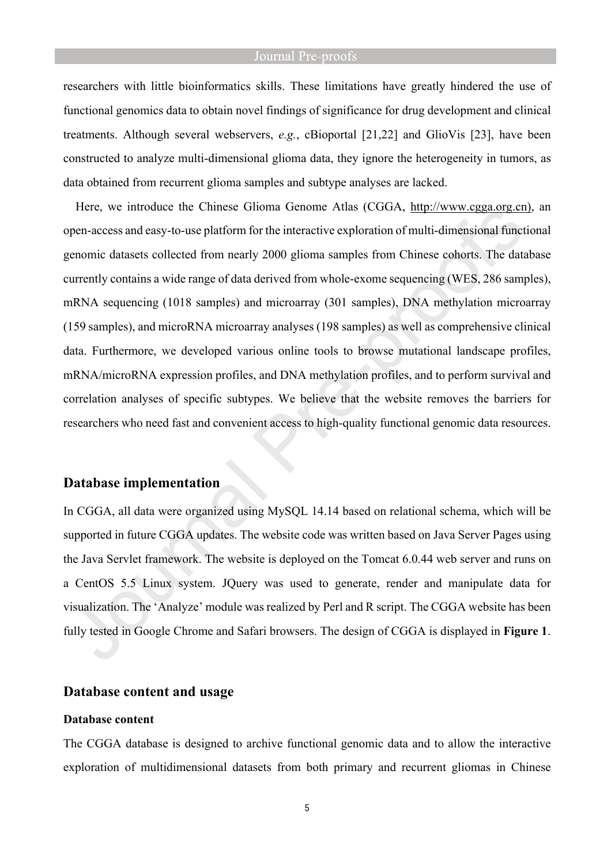researchers with little bioinformatics skills. These limitations have greatly hindered the use of functional genomics data to obtain novel findings of significance for drug development and clinical treatments. Although several webservers, *e.g.*, cBioportal [21,22] and GlioVis [23], have been constructed to analyze multi-dimensional glioma data, they ignore the heterogeneity in tumors, as data obtained from recurrent glioma samples and subtype analyses are lacked.

Here, we introduce the Chinese Glioma Genome Atlas (CGGA, [http://www.cgga.org.cn\)](http://www.cgga.org.cn)), an open-access and easy-to-use platform for the interactive exploration of multi-dimensional functional genomic datasets collected from nearly 2000 glioma samples from Chinese cohorts. The database currently contains a wide range of data derived from whole-exome sequencing (WES, 286 samples), mRNA sequencing (1018 samples) and microarray (301 samples), DNA methylation microarray (159 samples), and microRNA microarray analyses (198 samples) as well as comprehensive clinical data. Furthermore, we developed various online tools to browse mutational landscape profiles, mRNA/microRNA expression profiles, and DNA methylation profiles, and to perform survival and correlation analyses of specific subtypes. We believe that the website removes the barriers for researchers who need fast and convenient access to high-quality functional genomic data resources.

#### **Database implementation**

In CGGA, all data were organized using MySQL 14.14 based on relational schema, which will be supported in future CGGA updates. The website code was written based on Java Server Pages using the Java Servlet framework. The website is deployed on the Tomcat 6.0.44 web server and runs on a CentOS 5.5 Linux system. JQuery was used to generate, render and manipulate data for visualization. The 'Analyze' module was realized by Perl and R script. The CGGA website has been fully tested in Google Chrome and Safari browsers. The design of CGGA is displayed in **Figure 1**.

#### **Database content and usage**

#### **Database content**

The CGGA database is designed to archive functional genomic data and to allow the interactive exploration of multidimensional datasets from both primary and recurrent gliomas in Chinese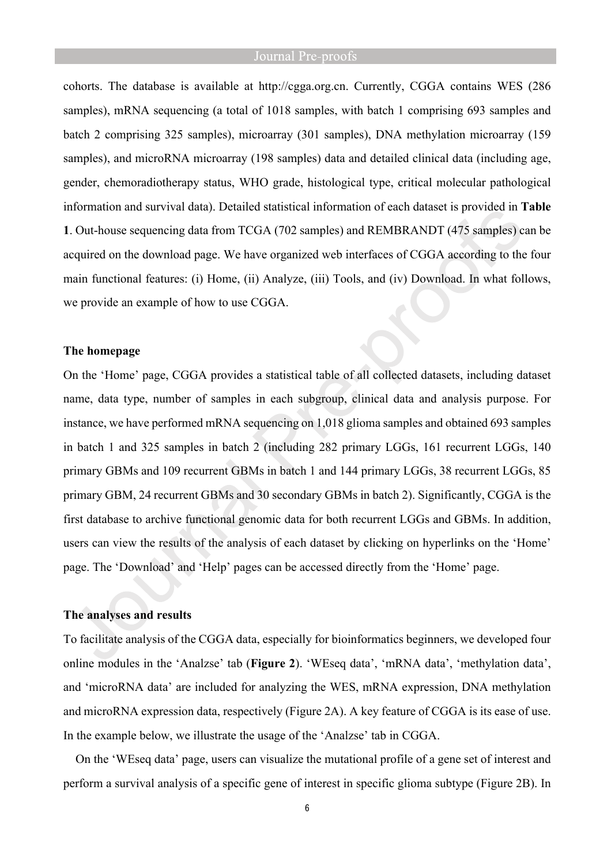cohorts. The database is available at [http://cgga.org.cn.](http://cgga.org.cn) Currently, CGGA contains WES (286 samples), mRNA sequencing (a total of 1018 samples, with batch 1 comprising 693 samples and batch 2 comprising 325 samples), microarray (301 samples), DNA methylation microarray (159 samples), and microRNA microarray (198 samples) data and detailed clinical data (including age, gender, chemoradiotherapy status, WHO grade, histological type, critical molecular pathological information and survival data). Detailed statistical information of each dataset is provided in **Table 1**. Out-house sequencing data from TCGA (702 samples) and REMBRANDT (475 samples) can be acquired on the download page. We have organized web interfaces of CGGA according to the four main functional features: (i) Home, (ii) Analyze, (iii) Tools, and (iv) Download. In what follows, we provide an example of how to use CGGA.

#### **The homepage**

On the 'Home' page, CGGA provides a statistical table of all collected datasets, including dataset name, data type, number of samples in each subgroup, clinical data and analysis purpose. For instance, we have performed mRNA sequencing on 1,018 glioma samples and obtained 693 samples in batch 1 and 325 samples in batch 2 (including 282 primary LGGs, 161 recurrent LGGs, 140 primary GBMs and 109 recurrent GBMs in batch 1 and 144 primary LGGs, 38 recurrent LGGs, 85 primary GBM, 24 recurrent GBMs and 30 secondary GBMs in batch 2). Significantly, CGGA is the first database to archive functional genomic data for both recurrent LGGs and GBMs. In addition, users can view the results of the analysis of each dataset by clicking on hyperlinks on the 'Home' page. The 'Download' and 'Help' pages can be accessed directly from the 'Home' page.

#### **The analyses and results**

To facilitate analysis of the CGGA data, especially for bioinformatics beginners, we developed four online modules in the 'Analzse' tab (**Figure 2**). 'WEseq data', 'mRNA data', 'methylation data', and 'microRNA data' are included for analyzing the WES, mRNA expression, DNA methylation and microRNA expression data, respectively (Figure 2A). A key feature of CGGA is its ease of use. In the example below, we illustrate the usage of the 'Analzse' tab in CGGA.

On the 'WEseq data' page, users can visualize the mutational profile of a gene set of interest and perform a survival analysis of a specific gene of interest in specific glioma subtype (Figure 2B). In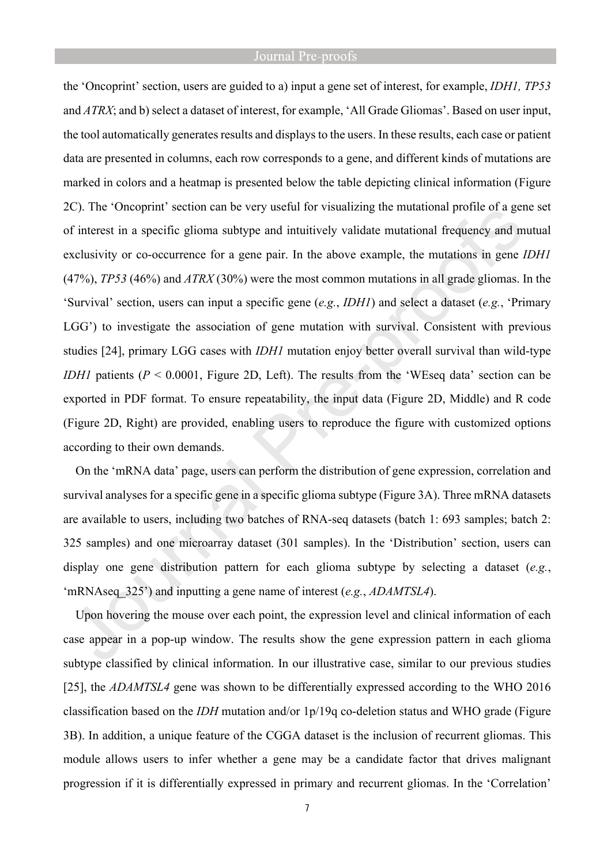the 'Oncoprint' section, users are guided to a) input a gene set of interest, for example, *IDH1, TP53*  and *ATRX*; and b) select a dataset of interest, for example, 'All Grade Gliomas'. Based on user input, the tool automatically generates results and displays to the users. In these results, each case or patient data are presented in columns, each row corresponds to a gene, and different kinds of mutations are marked in colors and a heatmap is presented below the table depicting clinical information (Figure 2C). The 'Oncoprint' section can be very useful for visualizing the mutational profile of a gene set of interest in a specific glioma subtype and intuitively validate mutational frequency and mutual exclusivity or co-occurrence for a gene pair. In the above example, the mutations in gene *IDH1* (47%), *TP53* (46%) and *ATRX* (30%) were the most common mutations in all grade gliomas. In the 'Survival' section, users can input a specific gene (*e.g.*, *IDH1*) and select a dataset (*e.g.*, 'Primary LGG') to investigate the association of gene mutation with survival. Consistent with previous studies [24], primary LGG cases with *IDH1* mutation enjoy better overall survival than wild-type *IDH1* patients (*P* < 0.0001, Figure 2D, Left). The results from the 'WEseq data' section can be exported in PDF format. To ensure repeatability, the input data (Figure 2D, Middle) and R code (Figure 2D, Right) are provided, enabling users to reproduce the figure with customized options according to their own demands.

On the 'mRNA data' page, users can perform the distribution of gene expression, correlation and survival analyses for a specific gene in a specific glioma subtype (Figure 3A). Three mRNA datasets are available to users, including two batches of RNA-seq datasets (batch 1: 693 samples; batch 2: 325 samples) and one microarray dataset (301 samples). In the 'Distribution' section, users can display one gene distribution pattern for each glioma subtype by selecting a dataset (*e.g.*, 'mRNAseq\_325') and inputting a gene name of interest (*e.g.*, *ADAMTSL4*).

Upon hovering the mouse over each point, the expression level and clinical information of each case appear in a pop-up window. The results show the gene expression pattern in each glioma subtype classified by clinical information. In our illustrative case, similar to our previous studies [25], the *ADAMTSL4* gene was shown to be differentially expressed according to the WHO 2016 classification based on the *IDH* mutation and/or 1p/19q co-deletion status and WHO grade (Figure 3B). In addition, a unique feature of the CGGA dataset is the inclusion of recurrent gliomas. This module allows users to infer whether a gene may be a candidate factor that drives malignant progression if it is differentially expressed in primary and recurrent gliomas. In the 'Correlation'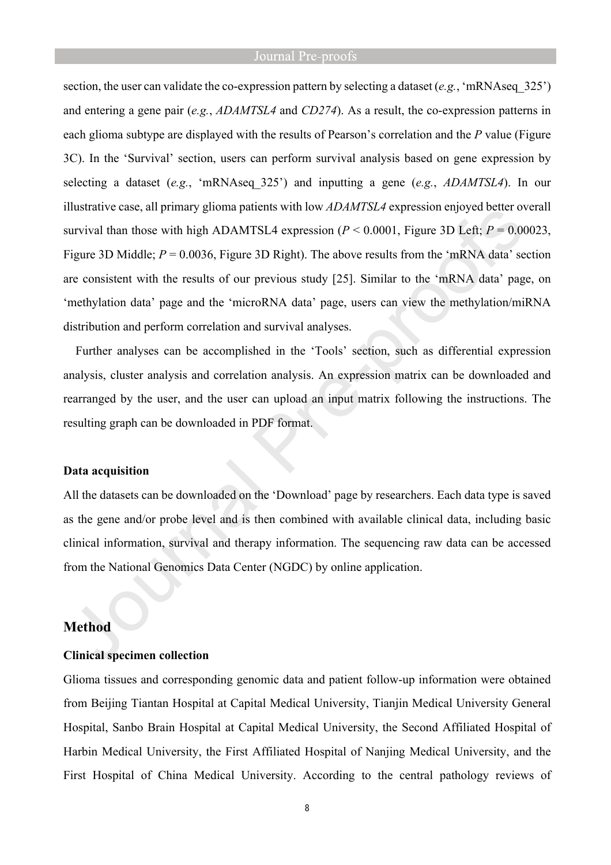section, the user can validate the co-expression pattern by selecting a dataset (*e.g.*, 'mRNAseq\_325') and entering a gene pair (*e.g.*, *ADAMTSL4* and *CD274*). As a result, the co-expression patterns in each glioma subtype are displayed with the results of Pearson's correlation and the *P* value (Figure 3C). In the 'Survival' section, users can perform survival analysis based on gene expression by selecting a dataset (*e.g.*, 'mRNAseq\_325') and inputting a gene (*e.g.*, *ADAMTSL4*). In our illustrative case, all primary glioma patients with low *ADAMTSL4* expression enjoyed better overall survival than those with high ADAMTSL4 expression  $(P < 0.0001$ , Figure 3D Left;  $P = 0.00023$ , Figure 3D Middle;  $P = 0.0036$ , Figure 3D Right). The above results from the 'mRNA data' section are consistent with the results of our previous study [25]. Similar to the 'mRNA data' page, on 'methylation data' page and the 'microRNA data' page, users can view the methylation/miRNA distribution and perform correlation and survival analyses.

Further analyses can be accomplished in the 'Tools' section, such as differential expression analysis, cluster analysis and correlation analysis. An expression matrix can be downloaded and rearranged by the user, and the user can upload an input matrix following the instructions. The resulting graph can be downloaded in PDF format.

#### **Data acquisition**

All the datasets can be downloaded on the 'Download' page by researchers. Each data type is saved as the gene and/or probe level and is then combined with available clinical data, including basic clinical information, survival and therapy information. The sequencing raw data can be accessed from the National Genomics Data Center (NGDC) by online application.

### **Method**

#### **Clinical specimen collection**

Glioma tissues and corresponding genomic data and patient follow-up information were obtained from Beijing Tiantan Hospital at Capital Medical University, Tianjin Medical University General Hospital, Sanbo Brain Hospital at Capital Medical University, the Second Affiliated Hospital of Harbin Medical University, the First Affiliated Hospital of Nanjing Medical University, and the First Hospital of China Medical University. According to the central pathology reviews of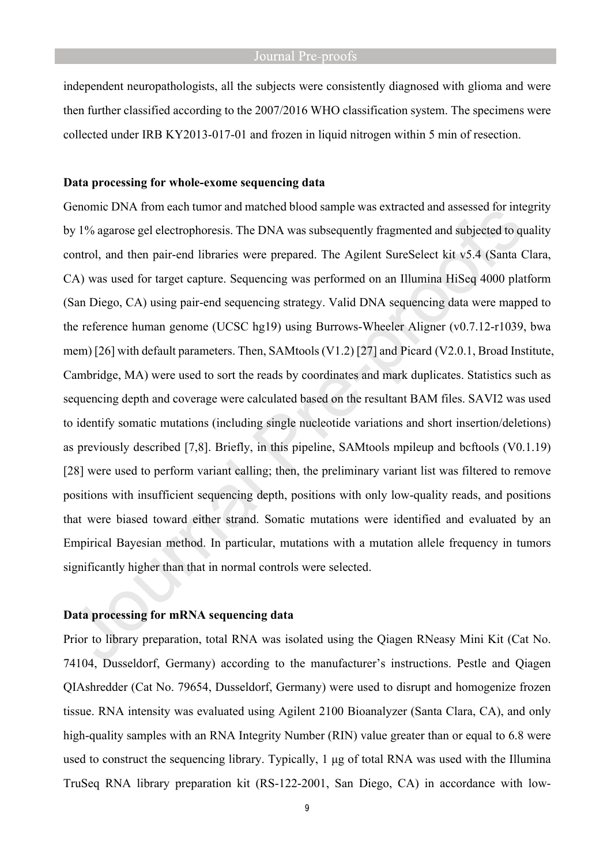independent neuropathologists, all the subjects were consistently diagnosed with glioma and were then further classified according to the 2007/2016 WHO classification system. The specimens were collected under IRB KY2013-017-01 and frozen in liquid nitrogen within 5 min of resection.

#### **Data processing for whole-exome sequencing data**

Genomic DNA from each tumor and matched blood sample was extracted and assessed for integrity by 1% agarose gel electrophoresis. The DNA was subsequently fragmented and subjected to quality control, and then pair-end libraries were prepared. The Agilent SureSelect kit v5.4 (Santa Clara, CA) was used for target capture. Sequencing was performed on an Illumina HiSeq 4000 platform (San Diego, CA) using pair-end sequencing strategy. Valid DNA sequencing data were mapped to the reference human genome (UCSC hg19) using Burrows-Wheeler Aligner (v0.7.12-r1039, bwa mem) [26] with default parameters. Then, SAMtools (V1.2) [27] and Picard (V2.0.1, Broad Institute, Cambridge, MA) were used to sort the reads by coordinates and mark duplicates. Statistics such as sequencing depth and coverage were calculated based on the resultant BAM files. SAVI2 was used to identify somatic mutations (including single nucleotide variations and short insertion/deletions) as previously described [7,8]. Briefly, in this pipeline, SAMtools mpileup and bcftools (V0.1.19) [28] were used to perform variant calling; then, the preliminary variant list was filtered to remove positions with insufficient sequencing depth, positions with only low-quality reads, and positions that were biased toward either strand. Somatic mutations were identified and evaluated by an Empirical Bayesian method. In particular, mutations with a mutation allele frequency in tumors significantly higher than that in normal controls were selected.

### **Data processing for mRNA sequencing data**

Prior to library preparation, total RNA was isolated using the Qiagen RNeasy Mini Kit (Cat No. 74104, Dusseldorf, Germany) according to the manufacturer's instructions. Pestle and Qiagen QIAshredder (Cat No. 79654, Dusseldorf, Germany) were used to disrupt and homogenize frozen tissue. RNA intensity was evaluated using Agilent 2100 Bioanalyzer (Santa Clara, CA), and only high-quality samples with an RNA Integrity Number (RIN) value greater than or equal to 6.8 were used to construct the sequencing library. Typically, 1 μg of total RNA was used with the Illumina TruSeq RNA library preparation kit (RS-122-2001, San Diego, CA) in accordance with low-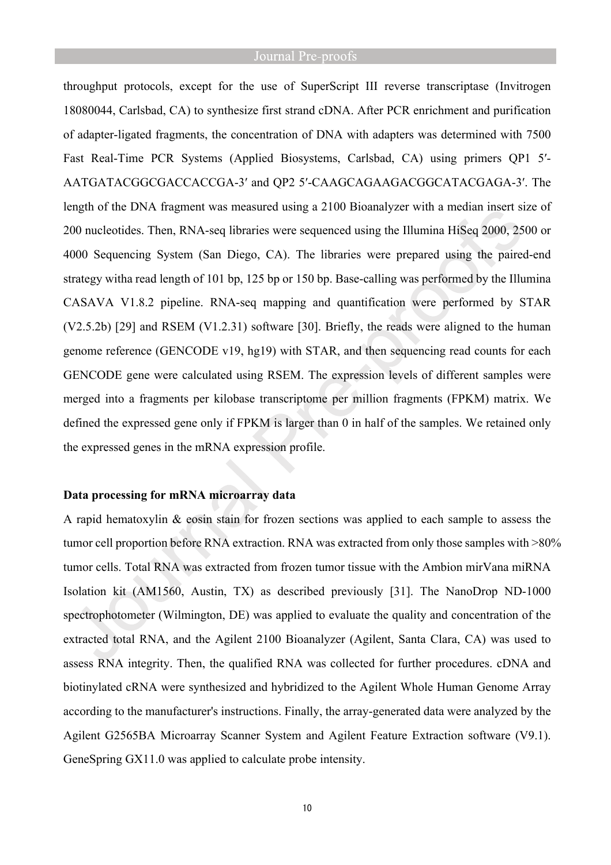throughput protocols, except for the use of SuperScript III reverse transcriptase (Invitrogen 18080044, Carlsbad, CA) to synthesize first strand cDNA. After PCR enrichment and purification of adapter-ligated fragments, the concentration of DNA with adapters was determined with 7500 Fast Real-Time PCR Systems (Applied Biosystems, Carlsbad, CA) using primers QP1 5′- AATGATACGGCGACCACCGA-3′ and QP2 5′-CAAGCAGAAGACGGCATACGAGA-3′. The length of the DNA fragment was measured using a 2100 Bioanalyzer with a median insert size of 200 nucleotides. Then, RNA-seq libraries were sequenced using the Illumina HiSeq 2000, 2500 or 4000 Sequencing System (San Diego, CA). The libraries were prepared using the paired-end strategy witha read length of 101 bp, 125 bp or 150 bp. Base-calling was performed by the Illumina CASAVA V1.8.2 pipeline. RNA-seq mapping and quantification were performed by STAR (V2.5.2b) [29] and RSEM (V1.2.31) software [30]. Briefly, the reads were aligned to the human genome reference (GENCODE v19, hg19) with STAR, and then sequencing read counts for each GENCODE gene were calculated using RSEM. The expression levels of different samples were merged into a fragments per kilobase transcriptome per million fragments (FPKM) matrix. We defined the expressed gene only if FPKM is larger than 0 in half of the samples. We retained only the expressed genes in the mRNA expression profile.

#### **Data processing for mRNA microarray data**

A rapid hematoxylin & eosin stain for frozen sections was applied to each sample to assess the tumor cell proportion before RNA extraction. RNA was extracted from only those samples with >80% tumor cells. Total RNA was extracted from frozen tumor tissue with the Ambion mirVana miRNA Isolation kit (AM1560, Austin, TX) as described previously [31]. The NanoDrop ND-1000 spectrophotometer (Wilmington, DE) was applied to evaluate the quality and concentration of the extracted total RNA, and the Agilent 2100 Bioanalyzer (Agilent, Santa Clara, CA) was used to assess RNA integrity. Then, the qualified RNA was collected for further procedures. cDNA and biotinylated cRNA were synthesized and hybridized to the Agilent Whole Human Genome Array according to the manufacturer's instructions. Finally, the array-generated data were analyzed by the Agilent G2565BA Microarray Scanner System and Agilent Feature Extraction software (V9.1). GeneSpring GX11.0 was applied to calculate probe intensity.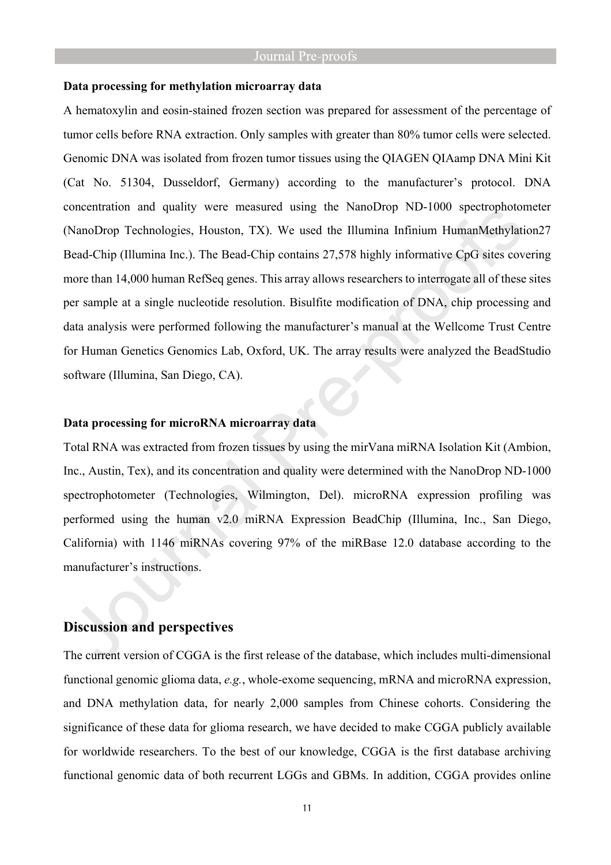#### **Data processing for methylation microarray data**

A hematoxylin and eosin-stained frozen section was prepared for assessment of the percentage of tumor cells before RNA extraction. Only samples with greater than 80% tumor cells were selected. Genomic DNA was isolated from frozen tumor tissues using the QIAGEN QIAamp DNA Mini Kit (Cat No. 51304, Dusseldorf, Germany) according to the manufacturer's protocol. DNA concentration and quality were measured using the NanoDrop ND-1000 spectrophotometer (NanoDrop Technologies, Houston, TX). We used the Illumina Infinium HumanMethylation27 Bead-Chip (Illumina Inc.). The Bead-Chip contains 27,578 highly informative CpG sites covering more than 14,000 human RefSeq genes. This array allows researchers to interrogate all of these sites per sample at a single nucleotide resolution. Bisulfite modification of DNA, chip processing and data analysis were performed following the manufacturer's manual at the Wellcome Trust Centre for Human Genetics Genomics Lab, Oxford, UK. The array results were analyzed the BeadStudio software (Illumina, San Diego, CA).

#### **Data processing for microRNA microarray data**

Total RNA was extracted from frozen tissues by using the mirVana miRNA Isolation Kit (Ambion, Inc., Austin, Tex), and its concentration and quality were determined with the NanoDrop ND-1000 spectrophotometer (Technologies, Wilmington, Del). microRNA expression profiling was performed using the human v2.0 miRNA Expression BeadChip (Illumina, Inc., San Diego, California) with 1146 miRNAs covering 97% of the miRBase 12.0 database according to the manufacturer's instructions.

# **Discussion and perspectives**

The current version of CGGA is the first release of the database, which includes multi-dimensional functional genomic glioma data, *e.g.*, whole-exome sequencing, mRNA and microRNA expression, and DNA methylation data, for nearly 2,000 samples from Chinese cohorts. Considering the significance of these data for glioma research, we have decided to make CGGA publicly available for worldwide researchers. To the best of our knowledge, CGGA is the first database archiving functional genomic data of both recurrent LGGs and GBMs. In addition, CGGA provides online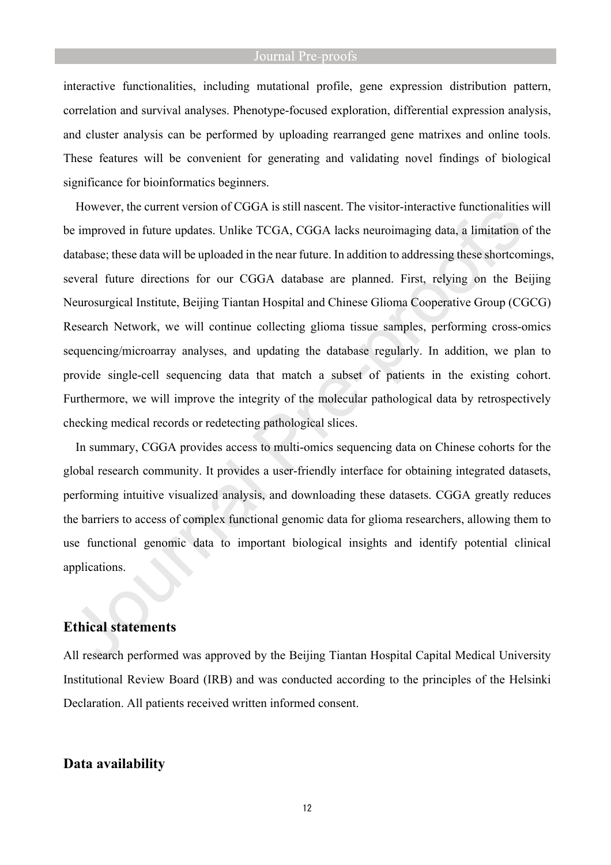interactive functionalities, including mutational profile, gene expression distribution pattern, correlation and survival analyses. Phenotype-focused exploration, differential expression analysis, and cluster analysis can be performed by uploading rearranged gene matrixes and online tools. These features will be convenient for generating and validating novel findings of biological significance for bioinformatics beginners.

However, the current version of CGGA is still nascent. The visitor-interactive functionalities will be improved in future updates. Unlike TCGA, CGGA lacks neuroimaging data, a limitation of the database; these data will be uploaded in the near future. In addition to addressing these shortcomings, several future directions for our CGGA database are planned. First, relying on the Beijing Neurosurgical Institute, Beijing Tiantan Hospital and Chinese Glioma Cooperative Group (CGCG) Research Network, we will continue collecting glioma tissue samples, performing cross-omics sequencing/microarray analyses, and updating the database regularly. In addition, we plan to provide single-cell sequencing data that match a subset of patients in the existing cohort. Furthermore, we will improve the integrity of the molecular pathological data by retrospectively checking medical records or redetecting pathological slices.

In summary, CGGA provides access to multi-omics sequencing data on Chinese cohorts for the global research community. It provides a user-friendly interface for obtaining integrated datasets, performing intuitive visualized analysis, and downloading these datasets. CGGA greatly reduces the barriers to access of complex functional genomic data for glioma researchers, allowing them to use functional genomic data to important biological insights and identify potential clinical applications.

# **Ethical statements**

All research performed was approved by the Beijing Tiantan Hospital Capital Medical University Institutional Review Board (IRB) and was conducted according to the principles of the Helsinki Declaration. All patients received written informed consent.

# **Data availability**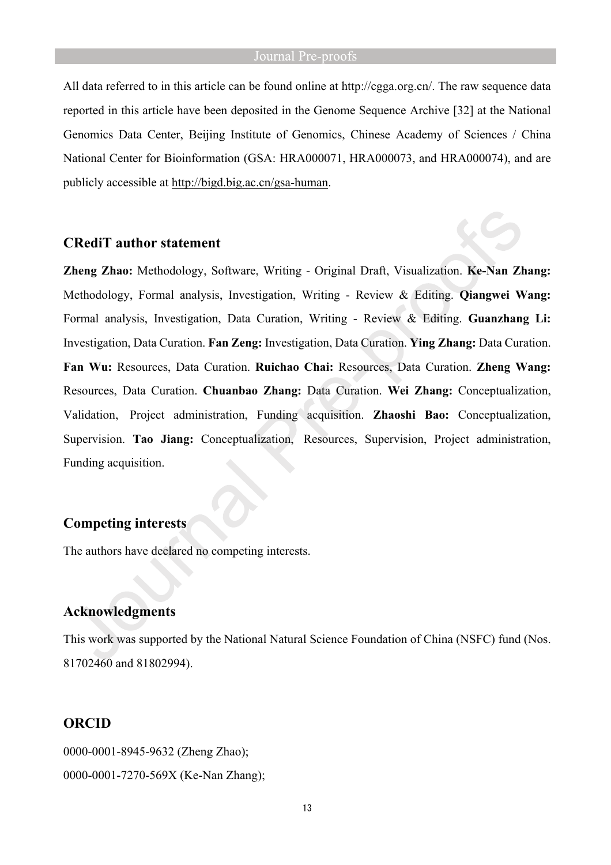All data referred to in this article can be found online at [http://cgga.org.cn/.](http://cgga.org.cn/) The raw sequence data reported in this article have been deposited in the Genome Sequence Archive [32] at the National Genomics Data Center, Beijing Institute of Genomics, Chinese Academy of Sciences / China National Center for Bioinformation (GSA: HRA000071, HRA000073, and HRA000074), and are publicly accessible at [http://bigd.big.ac.cn/gsa-human.](http://bigd.big.ac.cn/gsa-human)

#### **CRediT author statement**

**Zheng Zhao:** Methodology, Software, Writing - Original Draft, Visualization. **Ke-Nan Zhang:** Methodology, Formal analysis, Investigation, Writing - Review & Editing. **Qiangwei Wang:**  Formal analysis, Investigation, Data Curation, Writing - Review & Editing. **Guanzhang Li:**  Investigation, Data Curation. **Fan Zeng:** Investigation, Data Curation. **Ying Zhang:** Data Curation. **Fan Wu:** Resources, Data Curation. **Ruichao Chai:** Resources, Data Curation. **Zheng Wang:**  Resources, Data Curation. **Chuanbao Zhang:** Data Curation. **Wei Zhang:** Conceptualization, Validation, Project administration, Funding acquisition. **Zhaoshi Bao:** Conceptualization, Supervision. **Tao Jiang:** Conceptualization, Resources, Supervision, Project administration, Funding acquisition.

# **Competing interests**

The authors have declared no competing interests.

### **Acknowledgments**

This work was supported by the National Natural Science Foundation of China (NSFC) fund (Nos. 81702460 and 81802994).

# **ORCID**

0000-0001-8945-9632 (Zheng Zhao); 0000-0001-7270-569X (Ke-Nan Zhang);

13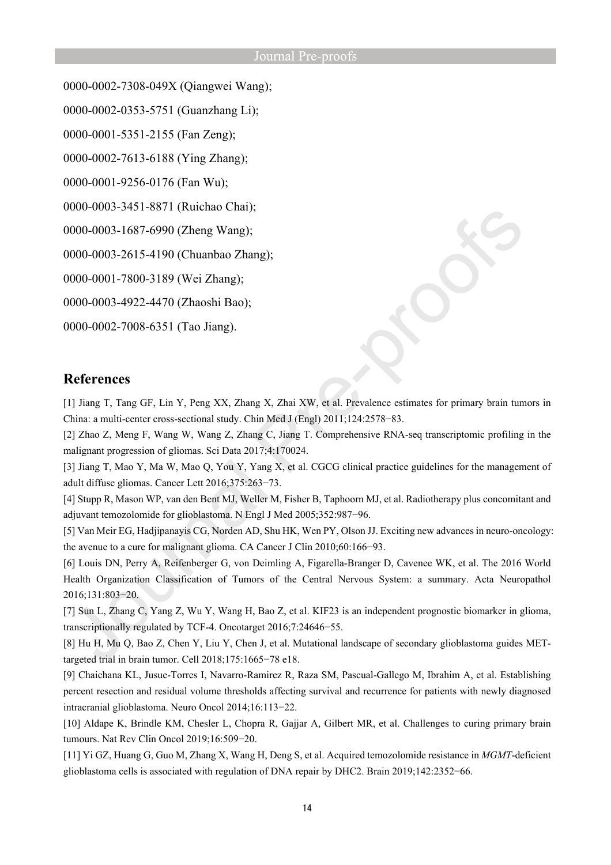0000-0002-7308-049X (Qiangwei Wang);

0000-0002-0353-5751 (Guanzhang Li);

0000-0001-5351-2155 (Fan Zeng);

0000-0002-7613-6188 (Ying Zhang);

0000-0001-9256-0176 (Fan Wu);

0000-0003-3451-8871 (Ruichao Chai);

0000-0003-1687-6990 (Zheng Wang);

0000-0003-2615-4190 (Chuanbao Zhang);

0000-0001-7800-3189 (Wei Zhang);

0000-0003-4922-4470 (Zhaoshi Bao);

0000-0002-7008-6351 (Tao Jiang).

# **References**

[1] Jiang T, Tang GF, Lin Y, Peng XX, Zhang X, Zhai XW, et al. Prevalence estimates for primary brain tumors in China: a multi-center cross-sectional study. Chin Med J (Engl) 2011;124:2578−83.

[2] Zhao Z, Meng F, Wang W, Wang Z, Zhang C, Jiang T. Comprehensive RNA-seq transcriptomic profiling in the malignant progression of gliomas. Sci Data 2017;4:170024.

[3] Jiang T, Mao Y, Ma W, Mao Q, You Y, Yang X, et al. CGCG clinical practice guidelines for the management of adult diffuse gliomas. Cancer Lett 2016;375:263−73.

[4] Stupp R, Mason WP, van den Bent MJ, Weller M, Fisher B, Taphoorn MJ, et al. Radiotherapy plus concomitant and adjuvant temozolomide for glioblastoma. N Engl J Med 2005;352:987−96.

[5] Van Meir EG, Hadjipanayis CG, Norden AD, Shu HK, Wen PY, Olson JJ. Exciting new advances in neuro-oncology: the avenue to a cure for malignant glioma. CA Cancer J Clin 2010;60:166−93.

[6] Louis DN, Perry A, Reifenberger G, von Deimling A, Figarella-Branger D, Cavenee WK, et al. The 2016 World Health Organization Classification of Tumors of the Central Nervous System: a summary. Acta Neuropathol 2016;131:803−20.

[7] Sun L, Zhang C, Yang Z, Wu Y, Wang H, Bao Z, et al. KIF23 is an independent prognostic biomarker in glioma, transcriptionally regulated by TCF-4. Oncotarget 2016;7:24646−55.

[8] Hu H, Mu Q, Bao Z, Chen Y, Liu Y, Chen J, et al. Mutational landscape of secondary glioblastoma guides METtargeted trial in brain tumor. Cell 2018;175:1665−78 e18.

[9] Chaichana KL, Jusue-Torres I, Navarro-Ramirez R, Raza SM, Pascual-Gallego M, Ibrahim A, et al. Establishing percent resection and residual volume thresholds affecting survival and recurrence for patients with newly diagnosed intracranial glioblastoma. Neuro Oncol 2014;16:113−22.

[10] Aldape K, Brindle KM, Chesler L, Chopra R, Gajjar A, Gilbert MR, et al. Challenges to curing primary brain tumours. Nat Rev Clin Oncol 2019;16:509−20.

[11] Yi GZ, Huang G, Guo M, Zhang X, Wang H, Deng S, et al. Acquired temozolomide resistance in *MGMT*-deficient glioblastoma cells is associated with regulation of DNA repair by DHC2. Brain 2019;142:2352−66.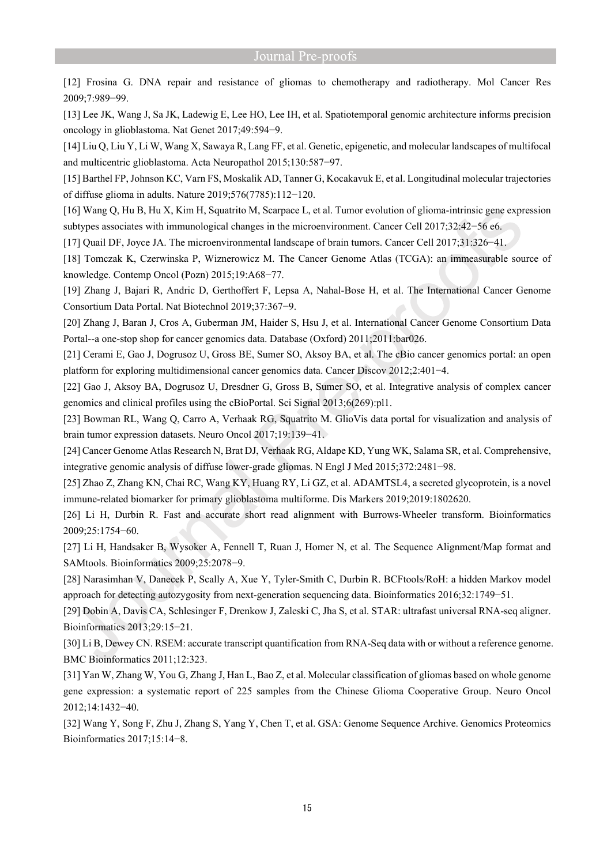[12] Frosina G. DNA repair and resistance of gliomas to chemotherapy and radiotherapy. Mol Cancer Res 2009;7:989−99.

[13] Lee JK, Wang J, Sa JK, Ladewig E, Lee HO, Lee IH, et al. Spatiotemporal genomic architecture informs precision oncology in glioblastoma. Nat Genet 2017;49:594−9.

[14] Liu Q, Liu Y, Li W, Wang X, Sawaya R, Lang FF, et al. Genetic, epigenetic, and molecular landscapes of multifocal and multicentric glioblastoma. Acta Neuropathol 2015;130:587−97.

[15] Barthel FP, Johnson KC, Varn FS, Moskalik AD, Tanner G, Kocakavuk E, et al. Longitudinal molecular trajectories of diffuse glioma in adults. Nature 2019;576(7785):112−120.

[16] Wang Q, Hu B, Hu X, Kim H, Squatrito M, Scarpace L, et al. Tumor evolution of glioma-intrinsic gene expression subtypes associates with immunological changes in the microenvironment. Cancer Cell 2017;32:42−56 e6.

[17] Quail DF, Joyce JA. The microenvironmental landscape of brain tumors. Cancer Cell 2017;31:326−41.

[18] Tomczak K, Czerwinska P, Wiznerowicz M. The Cancer Genome Atlas (TCGA): an immeasurable source of knowledge. Contemp Oncol (Pozn) 2015;19:A68−77.

[19] Zhang J, Bajari R, Andric D, Gerthoffert F, Lepsa A, Nahal-Bose H, et al. The International Cancer Genome Consortium Data Portal. Nat Biotechnol 2019;37:367−9.

[20] Zhang J, Baran J, Cros A, Guberman JM, Haider S, Hsu J, et al. International Cancer Genome Consortium Data Portal--a one-stop shop for cancer genomics data. Database (Oxford) 2011;2011:bar026.

[21] Cerami E, Gao J, Dogrusoz U, Gross BE, Sumer SO, Aksoy BA, et al. The cBio cancer genomics portal: an open platform for exploring multidimensional cancer genomics data. Cancer Discov 2012;2:401−4.

[22] Gao J, Aksoy BA, Dogrusoz U, Dresdner G, Gross B, Sumer SO, et al. Integrative analysis of complex cancer genomics and clinical profiles using the cBioPortal. Sci Signal 2013;6(269):pl1.

[23] Bowman RL, Wang Q, Carro A, Verhaak RG, Squatrito M. GlioVis data portal for visualization and analysis of brain tumor expression datasets. Neuro Oncol 2017;19:139−41.

[24] Cancer Genome Atlas Research N, Brat DJ, Verhaak RG, Aldape KD, Yung WK, Salama SR, et al. Comprehensive, integrative genomic analysis of diffuse lower-grade gliomas. N Engl J Med 2015;372:2481−98.

[25] Zhao Z, Zhang KN, Chai RC, Wang KY, Huang RY, Li GZ, et al. ADAMTSL4, a secreted glycoprotein, is a novel immune-related biomarker for primary glioblastoma multiforme. Dis Markers 2019;2019:1802620.

[26] Li H, Durbin R. Fast and accurate short read alignment with Burrows-Wheeler transform. Bioinformatics 2009;25:1754−60.

[27] Li H, Handsaker B, Wysoker A, Fennell T, Ruan J, Homer N, et al. The Sequence Alignment/Map format and SAMtools. Bioinformatics 2009;25:2078−9.

[28] Narasimhan V, Danecek P, Scally A, Xue Y, Tyler-Smith C, Durbin R. BCFtools/RoH: a hidden Markov model approach for detecting autozygosity from next-generation sequencing data. Bioinformatics 2016;32:1749−51.

[29] Dobin A, Davis CA, Schlesinger F, Drenkow J, Zaleski C, Jha S, et al. STAR: ultrafast universal RNA-seq aligner. Bioinformatics 2013;29:15−21.

[30] Li B, Dewey CN. RSEM: accurate transcript quantification from RNA-Seq data with or without a reference genome. BMC Bioinformatics 2011;12:323.

[31] Yan W, Zhang W, You G, Zhang J, Han L, Bao Z, et al. Molecular classification of gliomas based on whole genome gene expression: a systematic report of 225 samples from the Chinese Glioma Cooperative Group. Neuro Oncol 2012;14:1432−40.

[32] Wang Y, Song F, Zhu J, Zhang S, Yang Y, Chen T, et al. GSA: Genome Sequence Archive. Genomics Proteomics Bioinformatics 2017;15:14−8.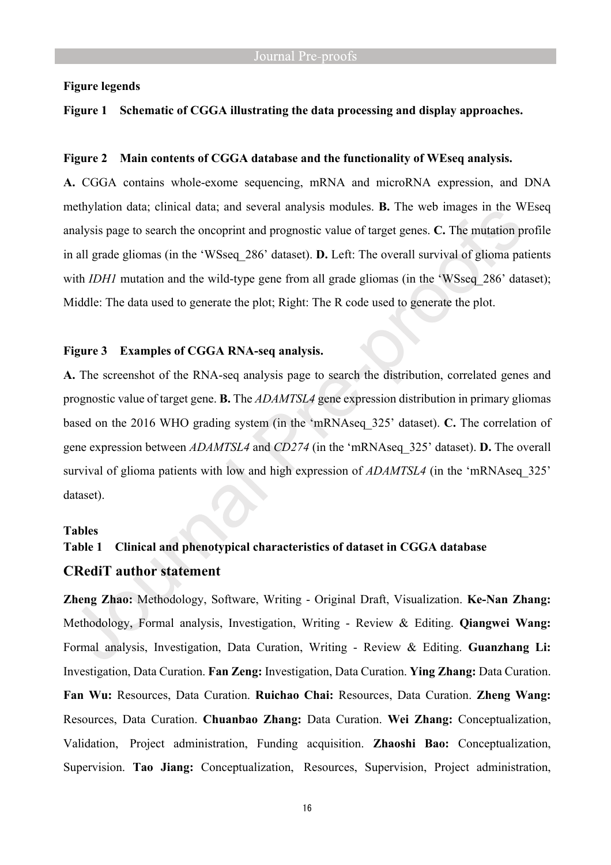#### **Figure legends**

#### **Figure 1 Schematic of CGGA illustrating the data processing and display approaches.**

#### **Figure 2 Main contents of CGGA database and the functionality of WEseq analysis.**

**A.** CGGA contains whole-exome sequencing, mRNA and microRNA expression, and DNA methylation data; clinical data; and several analysis modules. **B.** The web images in the WEseq analysis page to search the oncoprint and prognostic value of target genes. **C.** The mutation profile in all grade gliomas (in the 'WSseq\_286' dataset). **D.** Left: The overall survival of glioma patients with *IDH1* mutation and the wild-type gene from all grade gliomas (in the 'WSseq 286' dataset); Middle: The data used to generate the plot; Right: The R code used to generate the plot.

#### **Figure 3 Examples of CGGA RNA-seq analysis.**

**A.** The screenshot of the RNA-seq analysis page to search the distribution, correlated genes and prognostic value of target gene. **B.** The *ADAMTSL4* gene expression distribution in primary gliomas based on the 2016 WHO grading system (in the 'mRNAseq\_325' dataset). **C.** The correlation of gene expression between *ADAMTSL4* and *CD274* (in the 'mRNAseq\_325' dataset). **D.** The overall survival of glioma patients with low and high expression of *ADAMTSL4* (in the 'mRNAseq 325' dataset).

#### **Tables**

# **Table 1 Clinical and phenotypical characteristics of dataset in CGGA database CRediT author statement**

**Zheng Zhao:** Methodology, Software, Writing - Original Draft, Visualization. **Ke-Nan Zhang:** Methodology, Formal analysis, Investigation, Writing - Review & Editing. **Qiangwei Wang:**  Formal analysis, Investigation, Data Curation, Writing - Review & Editing. **Guanzhang Li:**  Investigation, Data Curation. **Fan Zeng:** Investigation, Data Curation. **Ying Zhang:** Data Curation. **Fan Wu:** Resources, Data Curation. **Ruichao Chai:** Resources, Data Curation. **Zheng Wang:**  Resources, Data Curation. **Chuanbao Zhang:** Data Curation. **Wei Zhang:** Conceptualization, Validation, Project administration, Funding acquisition. **Zhaoshi Bao:** Conceptualization, Supervision. **Tao Jiang:** Conceptualization, Resources, Supervision, Project administration,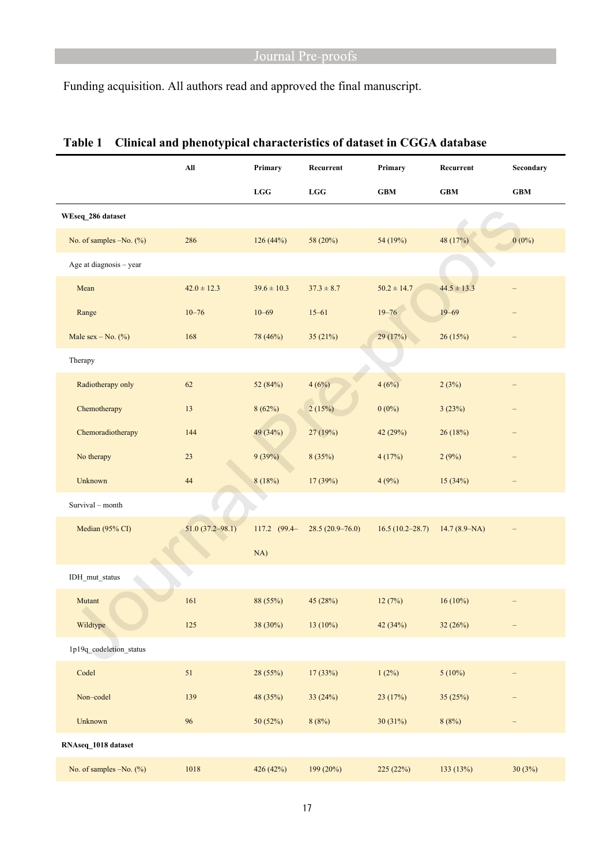Funding acquisition. All authors read and approved the final manuscript.

|                         | All                 | Primary         | Recurrent           | Primary                     | Recurrent        | Secondary   |
|-------------------------|---------------------|-----------------|---------------------|-----------------------------|------------------|-------------|
|                         |                     | ${\bf LGG}$     | ${\bf LGG}$         | $\boldsymbol{\mathsf{GBM}}$ | $\bold{GBM}$     | ${\bf GBM}$ |
| WEseq 286 dataset       |                     |                 |                     |                             |                  |             |
| No. of samples -No. (%) | 286                 | 126(44%)        | 58 (20%)            | 54 (19%)                    | 48 (17%)         | $0(0\%)$    |
| Age at diagnosis - year |                     |                 |                     |                             |                  |             |
| Mean                    | $42.0 \pm 12.3$     | $39.6 \pm 10.3$ | $37.3 \pm 8.7$      | $50.2 \pm 14.7$             | $44.5 \pm 13.3$  |             |
| Range                   | $10 - 76$           | $10 - 69$       | $15 - 61$           | $19 - 76$                   | $19 - 69$        |             |
| Male sex $-$ No. $(\%)$ | 168                 | 78 (46%)        | 35 (21%)            | 29 (17%)                    | 26 (15%)         |             |
| Therapy                 |                     |                 |                     |                             |                  |             |
| Radiotherapy only       | 62                  | 52 (84%)        | 4(6%)               | 4(6%)                       | 2(3%)            |             |
| Chemotherapy            | 13                  | 8(62%)          | 2(15%)              | $0(0\%)$                    | 3(23%)           |             |
| Chemoradiotherapy       | 144                 | 49 (34%)        | 27 (19%)            | 42 (29%)                    | 26 (18%)         | -           |
| No therapy              | 23                  | 9(39%)          | 8(35%)              | 4(17%)                      | 2(9%)            | —           |
| Unknown                 | 44                  | 8(18%)          | 17 (39%)            | 4(9%)                       | 15(34%)          |             |
| Survival - month        |                     |                 |                     |                             |                  |             |
| Median (95% CI)         | $51.0(37.2 - 98.1)$ | 117.2 (99.4-    | $28.5(20.9 - 76.0)$ | $16.5(10.2 - 28.7)$         | $14.7(8.9 - NA)$ |             |
|                         |                     | NA)             |                     |                             |                  |             |
| IDH_mut_status          |                     |                 |                     |                             |                  |             |
| Mutant                  | 161                 | 88 (55%)        | 45(28%)             | 12(7%)                      | $16(10\%)$       |             |
| Wildtype                | 125                 | 38 (30%)        | $13(10\%)$          | 42 (34%)                    | 32 (26%)         |             |
| 1p19q_codeletion_status |                     |                 |                     |                             |                  |             |
| Codel                   | $51\,$              | 28 (55%)        | 17 (33%)            | 1(2%)                       | $5(10\%)$        |             |
| Non-codel               | 139                 | 48 (35%)        | 33 (24%)            | 23 (17%)                    | 35 (25%)         |             |
| Unknown                 | 96                  | 50 (52%)        | 8(8%)               | 30 (31%)                    | 8(8%)            | -           |
| RNAseq_1018 dataset     |                     |                 |                     |                             |                  |             |
| No. of samples -No. (%) | 1018                | 426 (42%)       | 199 (20%)           | 225 (22%)                   | 133 (13%)        | 30(3%)      |

# **Table 1 Clinical and phenotypical characteristics of dataset in CGGA database**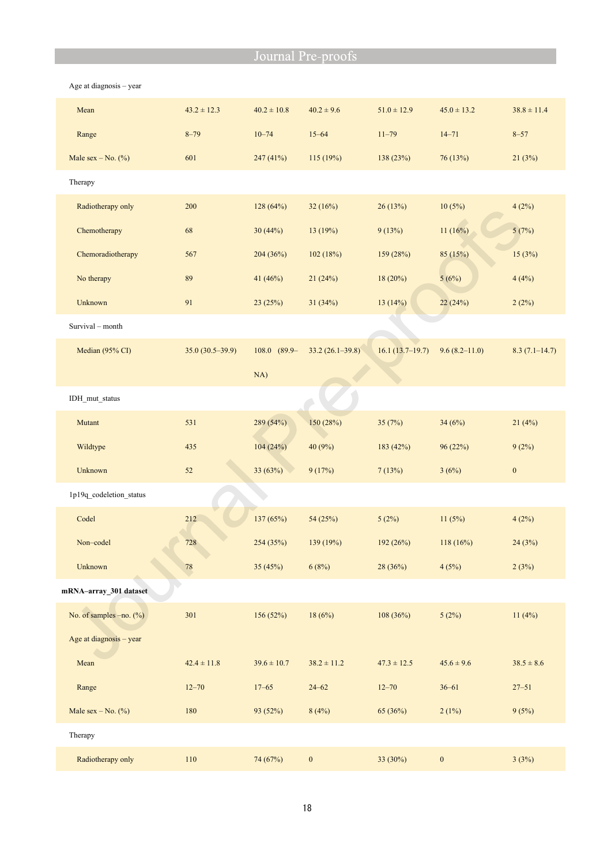| Mean                      | $43.2 \pm 12.3$   | $40.2 \pm 10.8$  | $40.2 \pm 9.6$      | $51.0 \pm 12.9$   | $45.0 \pm 13.2$   | $38.8 \pm 11.4$   |
|---------------------------|-------------------|------------------|---------------------|-------------------|-------------------|-------------------|
| Range                     | $8 - 79$          | $10 - 74$        | $15 - 64$           | $11 - 79$         | $14 - 71$         | $8 - 57$          |
| Male sex – No. $(\%)$     | 601               | 247(41%)         | 115(19%)            | 138(23%)          | 76(13%)           | 21(3%)            |
| Therapy                   |                   |                  |                     |                   |                   |                   |
| Radiotherapy only         | 200               | 128 (64%)        | 32(16%)             | 26 (13%)          | 10(5%)            | 4(2%)             |
| Chemotherapy              | 68                | 30(44%)          | 13 (19%)            | 9(13%)            | 11(16%)           | 5(7%)             |
| Chemoradiotherapy         | 567               | 204 (36%)        | 102(18%)            | 159 (28%)         | 85 (15%)          | 15(3%)            |
| No therapy                | 89                | 41 (46%)         | 21(24%)             | 18(20%)           | 5(6%)             | 4(4%)             |
| Unknown                   | 91                | 23(25%)          | 31(34%)             | 13(14%)           | 22 (24%)          | 2(2%)             |
| Survival - month          |                   |                  |                     |                   |                   |                   |
| Median (95% CI)           | $35.0(30.5-39.9)$ | $108.0$ $(89.9-$ | $33.2(26.1 - 39.8)$ | $16.1(13.7-19.7)$ | $9.6(8.2 - 11.0)$ | $8.3(7.1 - 14.7)$ |
|                           |                   | NA)              |                     |                   |                   |                   |
| IDH_mut_status            |                   |                  |                     |                   |                   |                   |
| Mutant                    | 531               | 289 (54%)        | 150 (28%)           | 35(7%)            | 34(6%)            | 21(4%)            |
| Wildtype                  | 435               | 104(24%)         | 40 (9%)             | 183 (42%)         | 96 (22%)          | 9(2%)             |
| Unknown                   | 52                | 33 (63%)         | 9(17%)              | 7(13%)            | 3(6%)             | $\boldsymbol{0}$  |
| 1p19q_codeletion_status   |                   |                  |                     |                   |                   |                   |
| Codel                     | 212               | 137 (65%)        | 54(25%)             | 5(2%)             | 11(5%)            | 4(2%)             |
| Non-codel                 | 728               | 254 (35%)        | 139 (19%)           | 192 (26%)         | 118 (16%)         | 24(3%)            |
| Unknown                   | ${\bf 78}$        | 35(45%)          | 6(8%)               | 28 (36%)          | 4(5%)             | 2(3%)             |
| mRNA-array_301 dataset    |                   |                  |                     |                   |                   |                   |
| No. of samples $-no.$ (%) | 301               | 156 (52%)        | 18(6%)              | 108(36%)          | 5(2%)             | 11(4%)            |
| Age at diagnosis - year   |                   |                  |                     |                   |                   |                   |
| Mean                      | $42.4 \pm 11.8$   | $39.6 \pm 10.7$  | $38.2 \pm 11.2$     | $47.3 \pm 12.5$   | $45.6 \pm 9.6$    | $38.5 \pm 8.6$    |
| Range                     | $12 - 70$         | $17 - 65$        | $24 - 62$           | $12 - 70$         | $36 - 61$         | $27 - 51$         |
| Male sex $-$ No. $(\%)$   | 180               | 93 (52%)         | 8(4%)               | 65 (36%)          | 2(1%)             | 9(5%)             |
| Therapy                   |                   |                  |                     |                   |                   |                   |
| Radiotherapy only         | 110               | 74 (67%)         | $\boldsymbol{0}$    | 33 (30%)          | $\boldsymbol{0}$  | 3(3%)             |

Age at diagnosis – year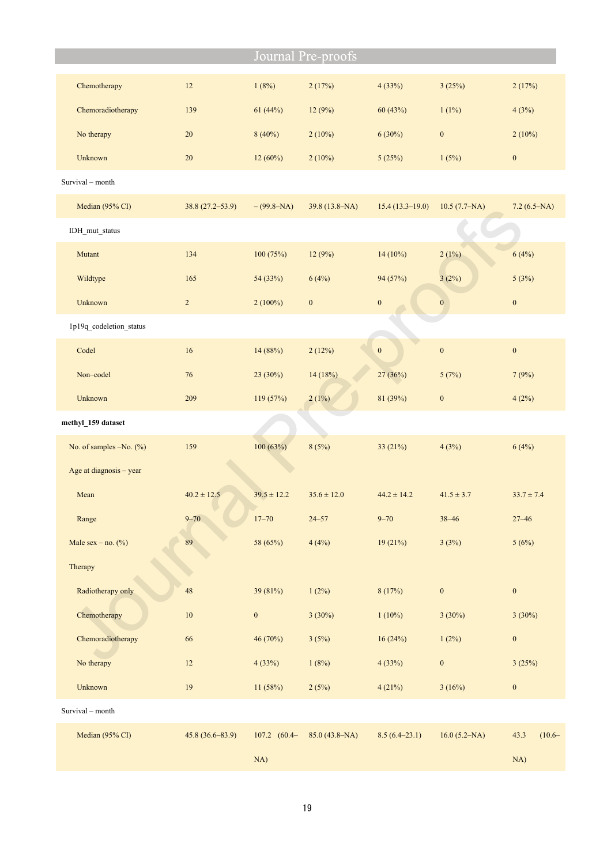|                         |                     |                       | Journal Pre-proofs |                   |                   |                   |
|-------------------------|---------------------|-----------------------|--------------------|-------------------|-------------------|-------------------|
| Chemotherapy            | 12                  | 1(8%)                 | 2(17%)             | 4(33%)            | 3(25%)            | 2(17%)            |
| Chemoradiotherapy       | 139                 | 61(44%)               | 12(9%)             | 60 (43%)          | $1(1\%)$          | 4(3%)             |
| No therapy              | 20                  | $8(40\%)$             | $2(10\%)$          | 6(30%)            | $\boldsymbol{0}$  | 2(10%)            |
| Unknown                 | 20                  | $12(60\%)$            | $2(10\%)$          | 5(25%)            | 1(5%)             | $\boldsymbol{0}$  |
| Survival - month        |                     |                       |                    |                   |                   |                   |
| Median (95% CI)         | $38.8(27.2 - 53.9)$ | $-(99.8-NA)$          | $39.8(13.8-NA)$    | $15.4(13.3-19.0)$ | $10.5 (7.7 - NA)$ | $7.2(6.5-NA)$     |
| IDH_mut_status          |                     |                       |                    |                   |                   |                   |
| Mutant                  | 134                 | 100(75%)              | 12(9%)             | $14(10\%)$        | 2(1%)             | 6(4%)             |
| Wildtype                | 165                 | 54 (33%)              | 6(4%)              | 94 (57%)          | 3(2%)             | 5(3%)             |
| Unknown                 | $\sqrt{2}$          | $2(100\%)$            | $\boldsymbol{0}$   | $\boldsymbol{0}$  | $\boldsymbol{0}$  | $\boldsymbol{0}$  |
| 1p19q_codeletion_status |                     |                       |                    |                   |                   |                   |
| Codel                   | 16                  | 14 (88%)              | 2(12%)             | $\boldsymbol{0}$  | $\boldsymbol{0}$  | $\boldsymbol{0}$  |
| Non-codel               | 76                  | 23 (30%)              | 14(18%)            | 27 (36%)          | 5(7%)             | 7(9%)             |
| Unknown                 | 209                 | 119(57%)              | 2(1%)              | 81 (39%)          | $\boldsymbol{0}$  | 4(2%)             |
| methyl_159 dataset      |                     |                       |                    |                   |                   |                   |
| No. of samples -No. (%) | 159                 | 100(63%)              | 8(5%)              | 33 (21%)          | 4(3%)             | 6(4%)             |
| Age at diagnosis - year |                     |                       |                    |                   |                   |                   |
| Mean                    | $40.2 \pm 12.5$     | $39.5 \pm 12.2$       | $35.6 \pm 12.0$    | $44.2 \pm 14.2$   | $41.5 \pm 3.7$    | $33.7 \pm 7.4$    |
| Range                   | $9 - 70$            | $17 - 70$             | $24 - 57$          | $9 - 70$          | $38 - 46$         | $27 - 46$         |
| Male sex – no. $(\%)$   | 89                  | 58 (65%)              | 4(4%)              | 19(21%)           | 3(3%)             | 5(6%)             |
| Therapy                 |                     |                       |                    |                   |                   |                   |
| Radiotherapy only       | 48                  | 39 (81%)              | 1(2%)              | 8(17%)            | $\boldsymbol{0}$  | $\boldsymbol{0}$  |
| Chemotherapy            | $10\,$              | $\boldsymbol{0}$      | $3(30\%)$          | $1(10\%)$         | 3(30%)            | $3(30\%)$         |
| Chemoradiotherapy       | 66                  | 46 (70%)              | 3(5%)              | 16(24%)           | 1(2%)             | $\boldsymbol{0}$  |
| No therapy              | 12                  | 4(33%)                | 1(8%)              | 4(33%)            | $\boldsymbol{0}$  | 3(25%)            |
| Unknown                 | $19\,$              | 11 (58%)              | 2(5%)              | 4(21%)            | 3(16%)            | $\boldsymbol{0}$  |
| Survival - month        |                     |                       |                    |                   |                   |                   |
| Median (95% CI)         | $45.8(36.6 - 83.9)$ | $107.2 \quad (60.4 -$ | $85.0(43.8-NA)$    | $8.5(6.4-23.1)$   | 16.0 (5.2–NA)     | 43.3<br>$(10.6 -$ |
|                         |                     | NA)                   |                    |                   |                   | NA)               |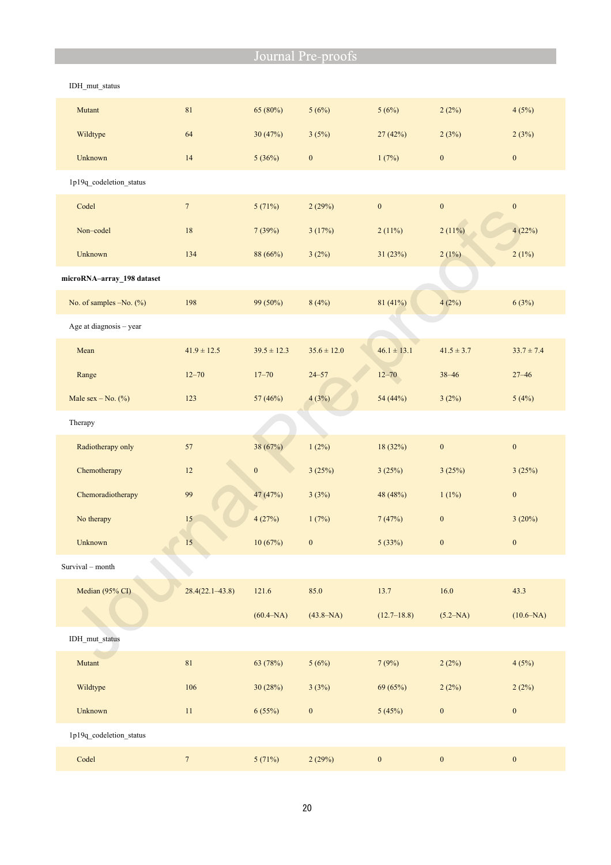| IDH mut status             |                     |                  |                  |                  |                  |                  |
|----------------------------|---------------------|------------------|------------------|------------------|------------------|------------------|
| Mutant                     | $81\,$              | 65 (80%)         | 5(6%)            | 5(6%)            | 2(2%)            | 4(5%)            |
| Wildtype                   | 64                  | 30(47%)          | 3(5%)            | 27(42%)          | 2(3%)            | 2(3%)            |
| Unknown                    | 14                  | 5(36%)           | $\boldsymbol{0}$ | 1(7%)            | $\boldsymbol{0}$ | $\boldsymbol{0}$ |
| 1p19q_codeletion_status    |                     |                  |                  |                  |                  |                  |
| Codel                      | $7\phantom{.0}$     | 5(71%)           | 2(29%)           | $\boldsymbol{0}$ | $\boldsymbol{0}$ | $\boldsymbol{0}$ |
| Non-codel                  | 18                  | 7(39%)           | 3(17%)           | 2(11%)           | 2(11%)           | 4(22%)           |
| Unknown                    | 134                 | 88 (66%)         | 3(2%)            | 31 (23%)         | 2(1%)            | 2(1%)            |
| microRNA-array_198 dataset |                     |                  |                  |                  |                  |                  |
| No. of samples -No. (%)    | 198                 | 99 (50%)         | 8(4%)            | 81 (41%)         | 4(2%)            | 6(3%)            |
| Age at diagnosis - year    |                     |                  |                  |                  |                  |                  |
| Mean                       | $41.9 \pm 12.5$     | $39.5 \pm 12.3$  | $35.6 \pm 12.0$  | $46.1 \pm 13.1$  | $41.5 \pm 3.7$   | $33.7 \pm 7.4$   |
| Range                      | $12 - 70$           | $17 - 70$        | $24 - 57$        | $12 - 70$        | $38 - 46$        | $27 - 46$        |
| Male sex $-$ No. $(\%)$    | 123                 | 57 (46%)         | 4(3%)            | 54 (44%)         | 3(2%)            | 5(4%)            |
| Therapy                    |                     |                  |                  |                  |                  |                  |
| Radiotherapy only          | 57                  | 38 (67%)         | 1(2%)            | 18 (32%)         | $\boldsymbol{0}$ | $\boldsymbol{0}$ |
| Chemotherapy               | 12                  | $\boldsymbol{0}$ | 3(25%)           | 3(25%)           | 3(25%)           | 3(25%)           |
| Chemoradiotherapy          | 99                  | 47 (47%)         | 3(3%)            | 48 (48%)         | 1(1%)            | $\boldsymbol{0}$ |
| No therapy                 | 15                  | 4(27%)           | 1(7%)            | 7(47%)           | $\boldsymbol{0}$ | 3(20%)           |
| Unknown                    | $15\phantom{.0}$    | 10(67%)          | $\mathbf{0}$     | 5(33%)           | $\bf{0}$         | $\mathbf{0}$     |
| Survival - month           |                     |                  |                  |                  |                  |                  |
| Median (95% CI)            | $28.4(22.1 - 43.8)$ | 121.6            | 85.0             | 13.7             | 16.0             | 43.3             |
|                            |                     | $(60.4 - NA)$    | $(43.8 - NA)$    | $(12.7 - 18.8)$  | $(5.2-NA)$       | $(10.6 - NA)$    |
| IDH mut status             |                     |                  |                  |                  |                  |                  |
| Mutant                     | $81\,$              | 63 (78%)         | 5(6%)            | 7(9%)            | 2(2%)            | 4(5%)            |
| Wildtype                   | 106                 | 30 (28%)         | 3(3%)            | 69 (65%)         | 2(2%)            | 2(2%)            |
| Unknown                    | $11\,$              | 6(55%)           | $\boldsymbol{0}$ | 5(45%)           | $\boldsymbol{0}$ | $\boldsymbol{0}$ |
| 1p19q_codeletion_status    |                     |                  |                  |                  |                  |                  |
| Codel                      | $\overline{7}$      | 5(71%)           | 2(29%)           | $\boldsymbol{0}$ | $\boldsymbol{0}$ | $\boldsymbol{0}$ |